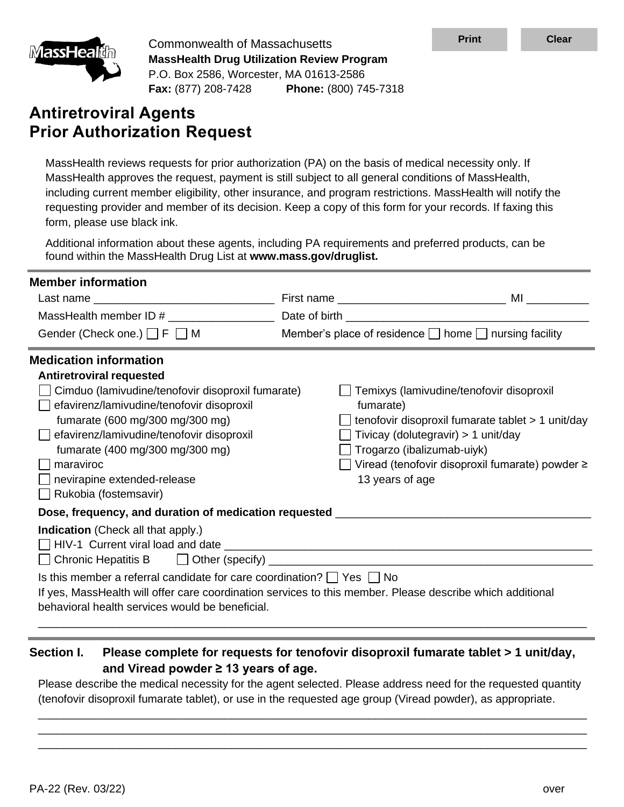

| <b>MassHealth</b>                                                                                                                                        | <b>Commonwealth of Massachusetts</b>                                                                                                                                                                              | <b>Print</b>                                                                                                                                                                                                                                                                                                                                                                                                                          | <b>Clear</b>                                                                                                                                                                            |      |
|----------------------------------------------------------------------------------------------------------------------------------------------------------|-------------------------------------------------------------------------------------------------------------------------------------------------------------------------------------------------------------------|---------------------------------------------------------------------------------------------------------------------------------------------------------------------------------------------------------------------------------------------------------------------------------------------------------------------------------------------------------------------------------------------------------------------------------------|-----------------------------------------------------------------------------------------------------------------------------------------------------------------------------------------|------|
|                                                                                                                                                          | <b>MassHealth Drug Utilization Review Program</b><br>P.O. Box 2586, Worcester, MA 01613-2586                                                                                                                      |                                                                                                                                                                                                                                                                                                                                                                                                                                       |                                                                                                                                                                                         |      |
|                                                                                                                                                          |                                                                                                                                                                                                                   | Fax: (877) 208-7428 Phone: (800) 745-7318                                                                                                                                                                                                                                                                                                                                                                                             |                                                                                                                                                                                         |      |
| <b>Antiretroviral Agents</b>                                                                                                                             |                                                                                                                                                                                                                   |                                                                                                                                                                                                                                                                                                                                                                                                                                       |                                                                                                                                                                                         |      |
|                                                                                                                                                          | <b>Prior Authorization Request</b>                                                                                                                                                                                |                                                                                                                                                                                                                                                                                                                                                                                                                                       |                                                                                                                                                                                         |      |
| form, please use black ink.                                                                                                                              |                                                                                                                                                                                                                   | MassHealth reviews requests for prior authorization (PA) on the basis of medical necessity only. If<br>MassHealth approves the request, payment is still subject to all general conditions of MassHealth,<br>including current member eligibility, other insurance, and program restrictions. MassHealth will notify the<br>requesting provider and member of its decision. Keep a copy of this form for your records. If faxing this |                                                                                                                                                                                         |      |
|                                                                                                                                                          | found within the MassHealth Drug List at www.mass.gov/druglist.                                                                                                                                                   | Additional information about these agents, including PA requirements and preferred products, can be                                                                                                                                                                                                                                                                                                                                   |                                                                                                                                                                                         |      |
| <b>Member information</b>                                                                                                                                |                                                                                                                                                                                                                   |                                                                                                                                                                                                                                                                                                                                                                                                                                       |                                                                                                                                                                                         |      |
|                                                                                                                                                          |                                                                                                                                                                                                                   |                                                                                                                                                                                                                                                                                                                                                                                                                                       |                                                                                                                                                                                         |      |
| Gender (Check one.) $\Box$ F $\Box$ M                                                                                                                    |                                                                                                                                                                                                                   | Member's place of residence $\Box$ home $\Box$ nursing facility                                                                                                                                                                                                                                                                                                                                                                       |                                                                                                                                                                                         |      |
| <b>Medication information</b>                                                                                                                            |                                                                                                                                                                                                                   |                                                                                                                                                                                                                                                                                                                                                                                                                                       |                                                                                                                                                                                         |      |
| <b>Antiretroviral requested</b><br>maraviroc<br>nevirapine extended-release<br>$\Box$ Rukobia (fostemsavir)<br><b>Indication</b> (Check all that apply.) | Cimduo (lamivudine/tenofovir disoproxil fumarate)<br>efavirenz/lamivudine/tenofovir disoproxil<br>fumarate (600 mg/300 mg/300 mg)<br>efavirenz/lamivudine/tenofovir disoproxil<br>fumarate (400 mg/300 mg/300 mg) | fumarate)<br>$\Box$ Trogarzo (ibalizumab-uiyk)<br>13 years of age<br>Dose, frequency, and duration of medication requested ___________________________<br>Is this member a referral candidate for care coordination? $\Box$ Yes $\Box$ No                                                                                                                                                                                             | Temixys (lamivudine/tenofovir disoproxil<br>tenofovir disoproxil fumarate tablet > 1 unit/day<br>Tivicay (dolutegravir) > 1 unit/day<br>Viread (tenofovir disoproxil fumarate) powder ≥ |      |
|                                                                                                                                                          | behavioral health services would be beneficial.                                                                                                                                                                   | If yes, MassHealth will offer care coordination services to this member. Please describe which additional                                                                                                                                                                                                                                                                                                                             |                                                                                                                                                                                         |      |
| <b>Section I.</b>                                                                                                                                        | and Viread powder $\geq$ 13 years of age.                                                                                                                                                                         | Please complete for requests for tenofovir disoproxil fumarate tablet > 1 unit/day,<br>Please describe the medical necessity for the agent selected. Please address need for the requested quantity<br>(tenofovir disoproxil fumarate tablet), or use in the requested age group (Viread powder), as appropriate.                                                                                                                     |                                                                                                                                                                                         |      |
| PA-22 (Rev. 03/22)                                                                                                                                       |                                                                                                                                                                                                                   |                                                                                                                                                                                                                                                                                                                                                                                                                                       |                                                                                                                                                                                         | over |

# **Section I. Please complete for requests for tenofovir disoproxil fumarate tablet > 1 unit/day, and Viread powder ≥ 13 years of age.**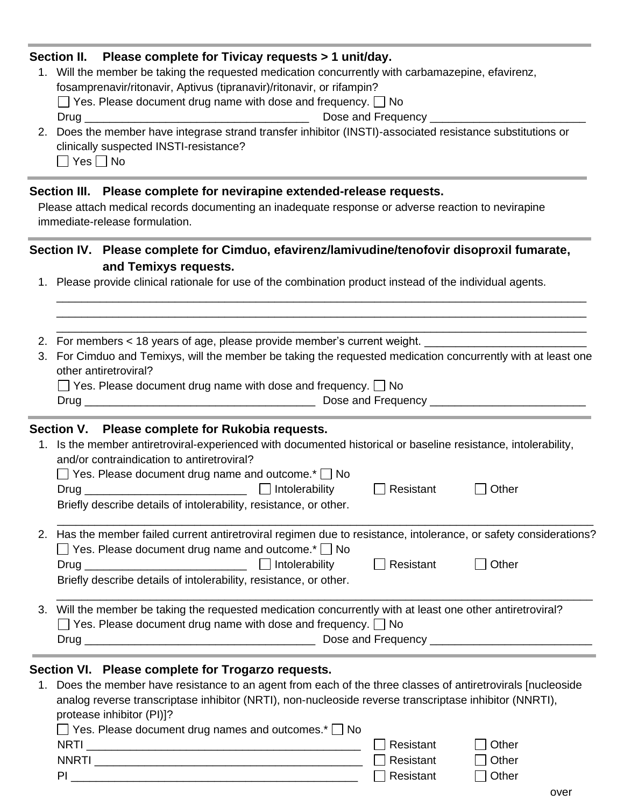### **Section II. Please complete for Tivicay requests > 1 unit/day.**

1. Will the member be taking the requested medication concurrently with carbamazepine, efavirenz, fosamprenavir/ritonavir, Aptivus (tipranavir)/ritonavir, or rifampin?

 $\Box$  Yes. Please document drug name with dose and frequency.  $\Box$  No

Drug \_\_\_\_\_\_\_\_\_\_\_\_\_\_\_\_\_\_\_\_\_\_\_\_\_\_\_\_\_\_\_\_\_\_\_\_ Dose and Frequency \_\_\_\_\_\_\_\_\_\_\_\_\_\_\_\_\_\_\_\_\_\_\_\_\_

2. Does the member have integrase strand transfer inhibitor (INSTI)-associated resistance substitutions or clinically suspected INSTI-resistance?

 $\Box$  Yes  $\Box$  No

# **Section III. Please complete for nevirapine extended-release requests.**

Please attach medical records documenting an inadequate response or adverse reaction to nevirapine immediate-release formulation.

# **Section IV. Please complete for Cimduo, efavirenz/lamivudine/tenofovir disoproxil fumarate, and Temixys requests.**

- 1. Please provide clinical rationale for use of the combination product instead of the individual agents.
- 2. For members < 18 years of age, please provide member's current weight.
- 3. For Cimduo and Temixys, will the member be taking the requested medication concurrently with at least one other antiretroviral?

\_\_\_\_\_\_\_\_\_\_\_\_\_\_\_\_\_\_\_\_\_\_\_\_\_\_\_\_\_\_\_\_\_\_\_\_\_\_\_\_\_\_\_\_\_\_\_\_\_\_\_\_\_\_\_\_\_\_\_\_\_\_\_\_\_\_\_\_\_\_\_\_\_\_\_\_\_\_\_\_\_\_\_\_\_ \_\_\_\_\_\_\_\_\_\_\_\_\_\_\_\_\_\_\_\_\_\_\_\_\_\_\_\_\_\_\_\_\_\_\_\_\_\_\_\_\_\_\_\_\_\_\_\_\_\_\_\_\_\_\_\_\_\_\_\_\_\_\_\_\_\_\_\_\_\_\_\_\_\_\_\_\_\_\_\_\_\_\_\_\_ \_\_\_\_\_\_\_\_\_\_\_\_\_\_\_\_\_\_\_\_\_\_\_\_\_\_\_\_\_\_\_\_\_\_\_\_\_\_\_\_\_\_\_\_\_\_\_\_\_\_\_\_\_\_\_\_\_\_\_\_\_\_\_\_\_\_\_\_\_\_\_\_\_\_\_\_\_\_\_\_\_\_\_\_\_

| $\Box$ Yes. Please document drug name with dose and frequency. $\Box$ No |                  |
|--------------------------------------------------------------------------|------------------|
| Drua <sup>1</sup>                                                        | Doon and Froquen |

Drug \_\_\_\_\_\_\_\_\_\_\_\_\_\_\_\_\_\_\_\_\_\_\_\_\_\_\_\_\_\_\_\_\_\_\_\_\_ Dose and Frequency \_\_\_\_\_\_\_\_\_\_\_\_\_\_\_\_\_\_\_\_\_\_\_\_\_

#### **Section V. Please complete for Rukobia requests.**

1. Is the member antiretroviral-experienced with documented historical or baseline resistance, intolerability, and/or contraindication to antiretroviral?

| $\Box$ Yes. Please document drug name and outcome.* $\Box$ No     |                       |                  |       |  |
|-------------------------------------------------------------------|-----------------------|------------------|-------|--|
| Drug                                                              | $\Box$ Intolerability | $\Box$ Resistant | Other |  |
| Briefly describe details of intolerability, resistance, or other. |                       |                  |       |  |
|                                                                   |                       |                  |       |  |

| 2. Has the member failed current antiretroviral regimen due to resistance, intolerance, or safety considerations? |                       |                  |              |
|-------------------------------------------------------------------------------------------------------------------|-----------------------|------------------|--------------|
| $\Box$ Yes. Please document drug name and outcome.* $\Box$ No                                                     |                       |                  |              |
| Drug                                                                                                              | $\Box$ Intolerability | $\Box$ Resistant | $\Box$ Other |
| Briefly describe details of intolerability, resistance, or other.                                                 |                       |                  |              |

\_\_\_\_\_\_\_\_\_\_\_\_\_\_\_\_\_\_\_\_\_\_\_\_\_\_\_\_\_\_\_\_\_\_\_\_\_\_\_\_\_\_\_\_\_\_\_\_\_\_\_\_\_\_\_\_\_\_\_\_\_\_\_\_\_\_\_\_\_\_\_\_\_\_\_\_\_\_\_\_\_\_\_\_\_\_

3. Will the member be taking the requested medication concurrently with at least one other antiretroviral?  $\Box$  Yes. Please document drug name with dose and frequency.  $\Box$  No Drug \_\_\_\_\_\_\_\_\_\_\_\_\_\_\_\_\_\_\_\_\_\_\_\_\_\_\_\_\_\_\_\_\_\_\_\_\_ Dose and Frequency \_\_\_\_\_\_\_\_\_\_\_\_\_\_\_\_\_\_\_\_\_\_\_\_\_\_

# **Section VI. Please complete for Trogarzo requests.**

1. Does the member have resistance to an agent from each of the three classes of antiretrovirals [nucleoside analog reverse transcriptase inhibitor (NRTI), non-nucleoside reverse transcriptase inhibitor (NNRTI), protease inhibitor (PI)]?  $\Box$  Yes. Please document drug names and outcomes.  $\Box$  No.

| <b>NRTI</b>  | $\Box$ Resistant | Other   |
|--------------|------------------|---------|
| <b>NNRTI</b> | $\Box$ Resistant | ∃ Other |
| PI           | $\Box$ Resistant | ∣ Other |
|              |                  |         |